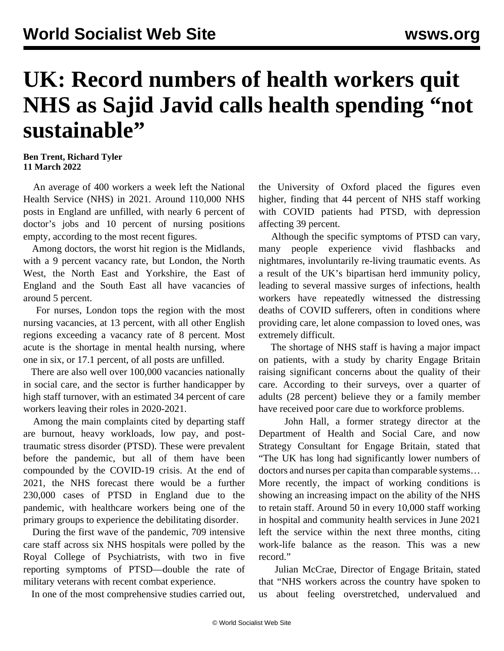## **UK: Record numbers of health workers quit NHS as Sajid Javid calls health spending "not sustainable"**

## **Ben Trent, Richard Tyler 11 March 2022**

 An average of 400 workers a week left the National Health Service (NHS) in 2021. Around 110,000 NHS posts in England are unfilled, with nearly 6 percent of doctor's jobs and 10 percent of nursing positions empty, according to the most recent figures.

 Among doctors, the worst hit region is the Midlands, with a 9 percent vacancy rate, but London, the North West, the North East and Yorkshire, the East of England and the South East all have vacancies of around 5 percent.

 For nurses, London tops the region with the most nursing vacancies, at 13 percent, with all other English regions exceeding a vacancy rate of 8 percent. Most acute is the shortage in mental health nursing, where one in six, or 17.1 percent, of all posts are unfilled.

 There are also well over 100,000 vacancies nationally in social care, and the sector is further handicapper by high staff turnover, with an estimated 34 percent of care workers leaving their roles in 2020-2021.

 Among the main complaints cited by departing staff are burnout, heavy workloads, low pay, and posttraumatic stress disorder (PTSD). These were prevalent before the pandemic, but all of them have been compounded by the COVID-19 crisis. At the end of 2021, the NHS forecast there would be a further 230,000 cases of PTSD in England due to the pandemic, with healthcare workers being one of the primary groups to experience the debilitating disorder.

 During the first wave of the pandemic, 709 intensive care staff across six NHS hospitals were polled by the Royal College of Psychiatrists, with two in five reporting symptoms of PTSD—double the rate of military veterans with recent combat experience.

In one of the most comprehensive studies carried out,

the University of Oxford placed the figures even higher, finding that 44 percent of NHS staff working with COVID patients had PTSD, with depression affecting 39 percent.

 Although the specific symptoms of PTSD can vary, many people experience vivid flashbacks and nightmares, involuntarily re-living traumatic events. As a result of the UK's bipartisan herd immunity policy, leading to several massive surges of infections, health workers have repeatedly witnessed the distressing deaths of COVID sufferers, often in conditions where providing care, let alone compassion to loved ones, was extremely difficult.

 The shortage of NHS staff is having a major impact on patients, with a study by charity Engage Britain raising significant concerns about the quality of their care. According to their surveys, over a quarter of adults (28 percent) believe they or a family member have received poor care due to workforce problems.

 John Hall, a former strategy director at the Department of Health and Social Care, and now Strategy Consultant for Engage Britain, stated that "The UK has long had significantly lower numbers of doctors and nurses per capita than comparable systems… More recently, the impact of working conditions is showing an increasing impact on the ability of the NHS to retain staff. Around 50 in every 10,000 staff working in hospital and community health services in June 2021 left the service within the next three months, citing work-life balance as the reason. This was a new record."

 Julian McCrae, Director of Engage Britain, stated that "NHS workers across the country have spoken to us about feeling overstretched, undervalued and